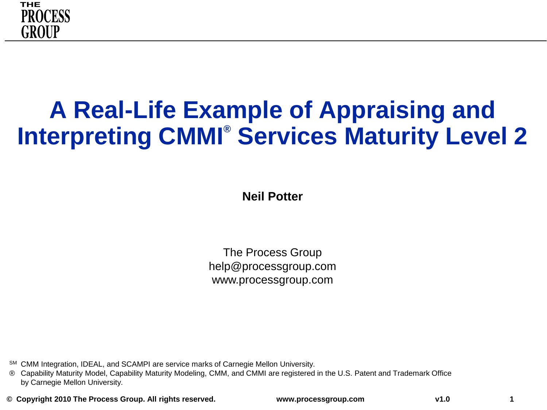

### **A Real-Life Example of Appraising and Interpreting CMMI® Services Maturity Level 2**

**Neil Potter**

The Process Group help@processgroup.com www.processgroup.com

SM CMM Integration, IDEAL, and SCAMPI are service marks of Carnegie Mellon University.

® Capability Maturity Model, Capability Maturity Modeling, CMM, and CMMI are registered in the U.S. Patent and Trademark Office by Carnegie Mellon University.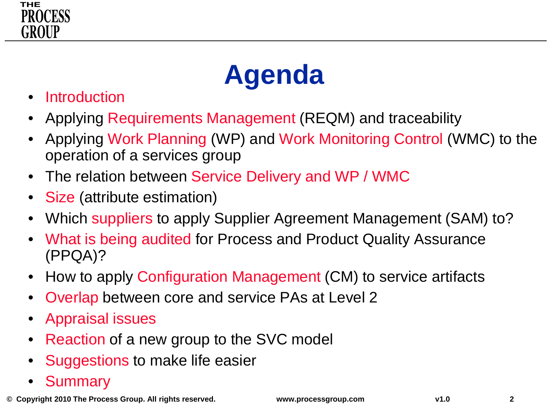



- **Introduction**
- Applying Requirements Management (REQM) and traceability
- Applying Work Planning (WP) and Work Monitoring Control (WMC) to the operation of a services group
- The relation between Service Delivery and WP / WMC
- Size (attribute estimation)
- Which suppliers to apply Supplier Agreement Management (SAM) to?
- What is being audited for Process and Product Quality Assurance (PPQA)?
- How to apply Configuration Management (CM) to service artifacts
- Overlap between core and service PAs at Level 2
- Appraisal issues
- Reaction of a new group to the SVC model
- Suggestions to make life easier
- **Summary**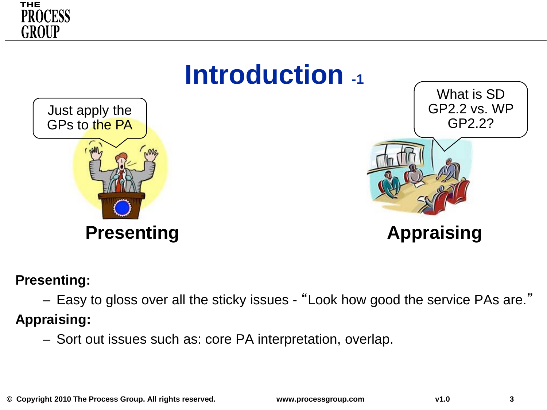



#### **Presenting:**

– Easy to gloss over all the sticky issues - "Look how good the service PAs are."

**Appraising:**

– Sort out issues such as: core PA interpretation, overlap.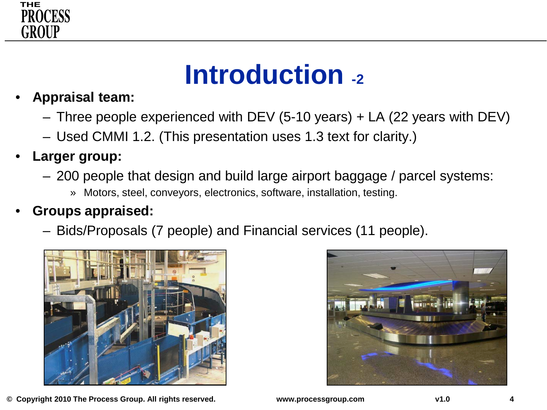

### **Introduction -2**

- **Appraisal team:** 
	- Three people experienced with DEV (5-10 years) + LA (22 years with DEV)
	- Used CMMI 1.2. (This presentation uses 1.3 text for clarity.)
- **Larger group:**
	- 200 people that design and build large airport baggage / parcel systems:
		- » Motors, steel, conveyors, electronics, software, installation, testing.

#### • **Groups appraised:**

– Bids/Proposals (7 people) and Financial services (11 people).



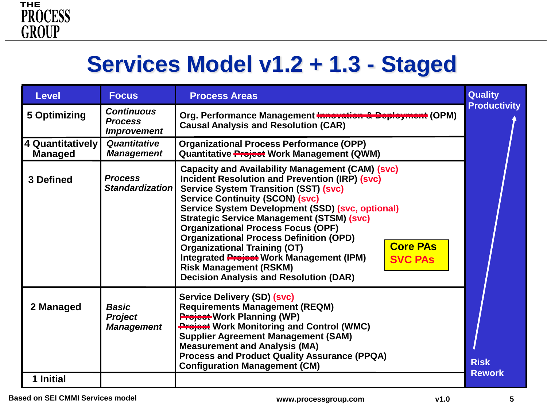### **Services Model v1.2 + 1.3 - Staged**

| <b>Level</b>                       | <b>Focus</b>                                              | <b>Process Areas</b>                                                                                                                                                                                                                                                                                                                                                                                                                                                                                                                                                                                                        | <b>Quality</b>               |
|------------------------------------|-----------------------------------------------------------|-----------------------------------------------------------------------------------------------------------------------------------------------------------------------------------------------------------------------------------------------------------------------------------------------------------------------------------------------------------------------------------------------------------------------------------------------------------------------------------------------------------------------------------------------------------------------------------------------------------------------------|------------------------------|
| 5 Optimizing                       | <b>Continuous</b><br><b>Process</b><br><b>Improvement</b> | Org. Performance Management Innovation & Deployment (OPM)<br><b>Causal Analysis and Resolution (CAR)</b>                                                                                                                                                                                                                                                                                                                                                                                                                                                                                                                    | <b>Productivity</b>          |
| 4 Quantitatively<br><b>Managed</b> | Quantitative<br><b>Management</b>                         | <b>Organizational Process Performance (OPP)</b><br>Quantitative <b>Project</b> Work Management (QWM)                                                                                                                                                                                                                                                                                                                                                                                                                                                                                                                        |                              |
| 3 Defined                          | <b>Process</b><br><b>Standardizationl</b>                 | <b>Capacity and Availability Management (CAM) (svc)</b><br><b>Incident Resolution and Prevention (IRP) (svc)</b><br><b>Service System Transition (SST) (svc)</b><br><b>Service Continuity (SCON) (svc)</b><br>Service System Development (SSD) (svc, optional)<br><b>Strategic Service Management (STSM) (svc)</b><br><b>Organizational Process Focus (OPF)</b><br><b>Organizational Process Definition (OPD)</b><br><b>Core PAs</b><br><b>Organizational Training (OT)</b><br>Integrated Project Work Management (IPM)<br><b>SVC PAS</b><br><b>Risk Management (RSKM)</b><br><b>Decision Analysis and Resolution (DAR)</b> |                              |
| 2 Managed                          | <b>Basic</b><br><b>Project</b><br><b>Management</b>       | Service Delivery (SD) (svc)<br><b>Requirements Management (REQM)</b><br><b>Project Work Planning (WP)</b><br><b>Project Work Monitoring and Control (WMC)</b><br><b>Supplier Agreement Management (SAM)</b><br><b>Measurement and Analysis (MA)</b><br><b>Process and Product Quality Assurance (PPQA)</b><br><b>Configuration Management (CM)</b>                                                                                                                                                                                                                                                                          | <b>Risk</b><br><b>Rework</b> |
| 1 Initial                          |                                                           |                                                                                                                                                                                                                                                                                                                                                                                                                                                                                                                                                                                                                             |                              |

**Based on SEI CMMI Services model**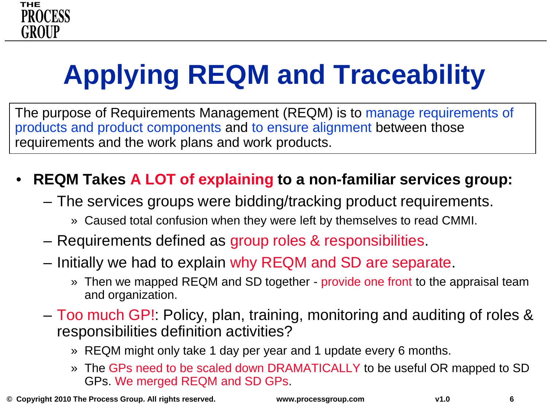

# **Applying REQM and Traceability**

The purpose of Requirements Management (REQM) is to manage requirements of products and product components and to ensure alignment between those requirements and the work plans and work products.

#### • **REQM Takes A LOT of explaining to a non-familiar services group:**

- The services groups were bidding/tracking product requirements.
	- » Caused total confusion when they were left by themselves to read CMMI.
- Requirements defined as group roles & responsibilities.
- Initially we had to explain why REQM and SD are separate.
	- » Then we mapped REQM and SD together provide one front to the appraisal team and organization.
- Too much GP!: Policy, plan, training, monitoring and auditing of roles & responsibilities definition activities?
	- » REQM might only take 1 day per year and 1 update every 6 months.
	- » The GPs need to be scaled down DRAMATICALLY to be useful OR mapped to SD GPs. We merged REQM and SD GPs.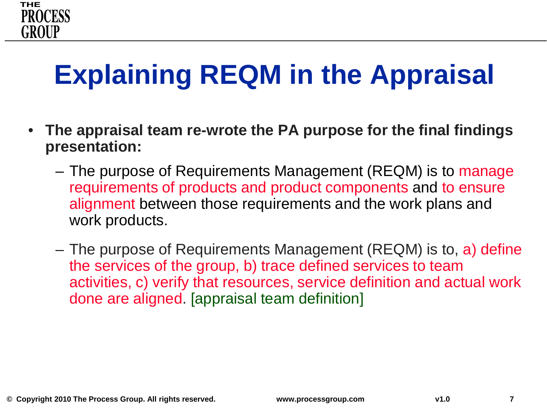## **Explaining REQM in the Appraisal**

- **The appraisal team re-wrote the PA purpose for the final findings presentation:**
	- The purpose of Requirements Management (REQM) is to manage requirements of products and product components and to ensure alignment between those requirements and the work plans and work products.
	- The purpose of Requirements Management (REQM) is to, a) define the services of the group, b) trace defined services to team activities, c) verify that resources, service definition and actual work done are aligned. [appraisal team definition]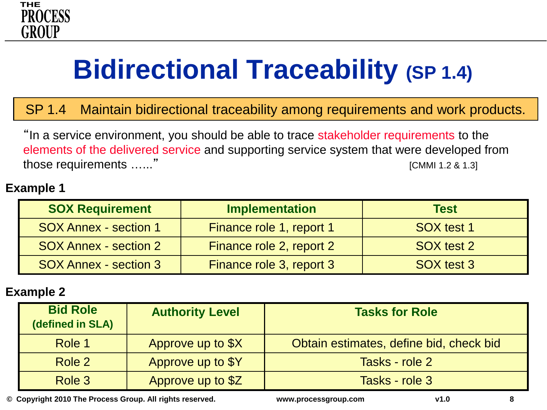

## **Bidirectional Traceability (SP 1.4)**

SP 1.4 Maintain bidirectional traceability among requirements and work products.

"In a service environment, you should be able to trace stakeholder requirements to the elements of the delivered service and supporting service system that were developed from those requirements …..." The contract of the contract of the contract of the contract of the contract of the contract of the contract of the contract of the contract of the contract of the contract of the contract of the c

#### **Example 1**

| <b>SOX Requirement</b>       | <b>Implementation</b>    | <b>Test</b> |
|------------------------------|--------------------------|-------------|
| <b>SOX Annex - section 1</b> | Finance role 1, report 1 | SOX test 1  |
| <b>SOX Annex - section 2</b> | Finance role 2, report 2 | SOX test 2  |
| <b>SOX Annex - section 3</b> | Finance role 3, report 3 | SOX test 3  |

#### **Example 2**

| <b>Bid Role</b><br>(defined in SLA) | <b>Authority Level</b> | <b>Tasks for Role</b>                   |
|-------------------------------------|------------------------|-----------------------------------------|
| Role 1                              | Approve up to \$X      | Obtain estimates, define bid, check bid |
| Role 2                              | Approve up to \$Y      | Tasks - role 2                          |
| Role 3                              | Approve up to \$Z      | Tasks - role 3                          |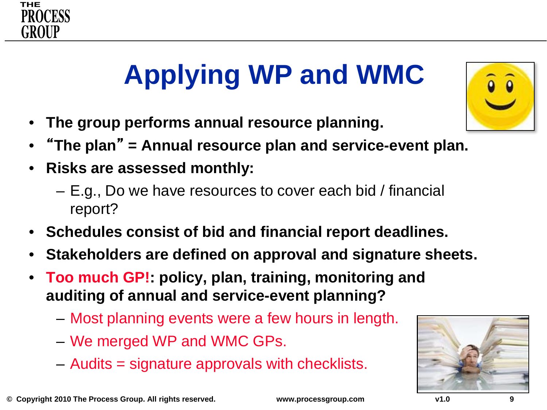

# **Applying WP and WMC**

- **The group performs annual resource planning.**
- "**The plan**" **= Annual resource plan and service-event plan.**
- **Risks are assessed monthly:**
	- E.g., Do we have resources to cover each bid / financial report?
- **Schedules consist of bid and financial report deadlines.**
- **Stakeholders are defined on approval and signature sheets.**
- **Too much GP!: policy, plan, training, monitoring and auditing of annual and service-event planning?**
	- Most planning events were a few hours in length.
	- We merged WP and WMC GPs.
	- Audits = signature approvals with checklists.



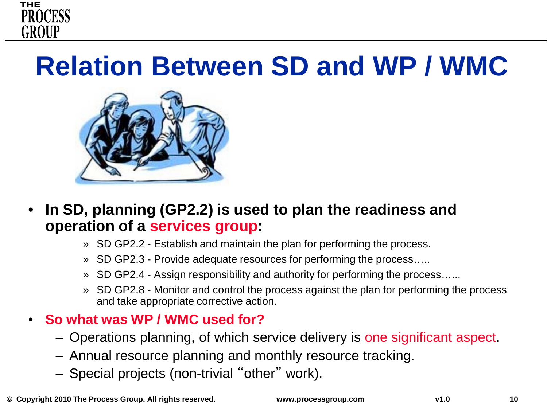

### **Relation Between SD and WP / WMC**



- **In SD, planning (GP2.2) is used to plan the readiness and operation of a services group:**
	- » SD GP2.2 Establish and maintain the plan for performing the process.
	- » SD GP2.3 Provide adequate resources for performing the process…..
	- » SD GP2.4 Assign responsibility and authority for performing the process…...
	- » SD GP2.8 Monitor and control the process against the plan for performing the process and take appropriate corrective action.

#### • **So what was WP / WMC used for?**

- Operations planning, of which service delivery is one significant aspect.
- Annual resource planning and monthly resource tracking.
- Special projects (non-trivial "other" work).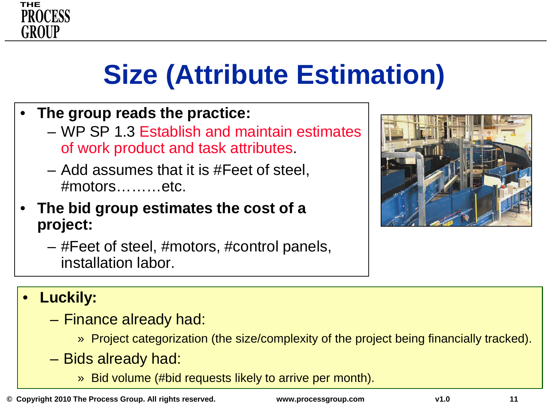

### **Size (Attribute Estimation)**

- **The group reads the practice:**
	- WP SP 1.3 Establish and maintain estimates of work product and task attributes.
	- Add assumes that it is #Feet of steel, #motors………etc.
- **The bid group estimates the cost of a project:**
	- #Feet of steel, #motors, #control panels, installation labor.



#### • **Luckily:**

- Finance already had:
	- » Project categorization (the size/complexity of the project being financially tracked).
- Bids already had:
	- » Bid volume (#bid requests likely to arrive per month).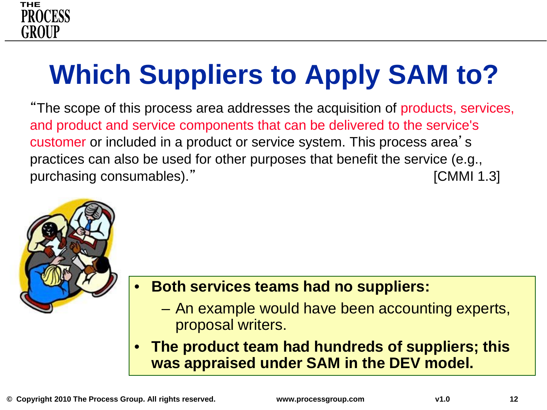

# **Which Suppliers to Apply SAM to?**

"The scope of this process area addresses the acquisition of products, services, and product and service components that can be delivered to the service's customer or included in a product or service system. This process area's practices can also be used for other purposes that benefit the service (e.g., purchasing consumables)." The consumable of the consumulation of the consumulation of the consumulation of the consumulation of the consumulation of the consumulation of the consumulation of the consumulation of the consum



#### • **Both services teams had no suppliers:**

- An example would have been accounting experts, proposal writers.
- **The product team had hundreds of suppliers; this was appraised under SAM in the DEV model.**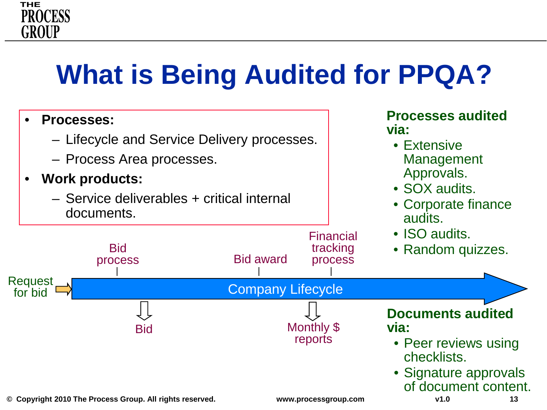## **What is Being Audited for PPQA?**

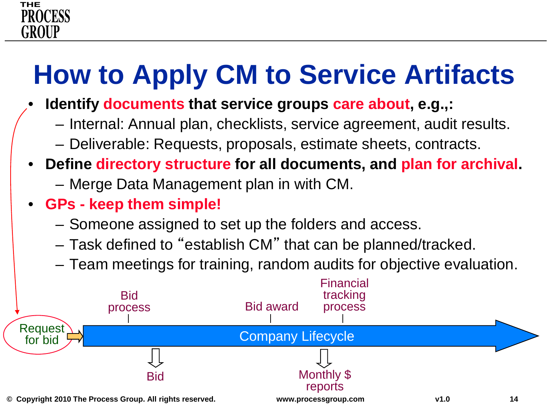# **How to Apply CM to Service Artifacts**

- **Identify documents that service groups care about, e.g.,:**
	- Internal: Annual plan, checklists, service agreement, audit results.
	- Deliverable: Requests, proposals, estimate sheets, contracts.
- **Define directory structure for all documents, and plan for archival.**
	- Merge Data Management plan in with CM.
- **GPs - keep them simple!**
	- Someone assigned to set up the folders and access.
	- Task defined to "establish CM" that can be planned/tracked.
	- Team meetings for training, random audits for objective evaluation.

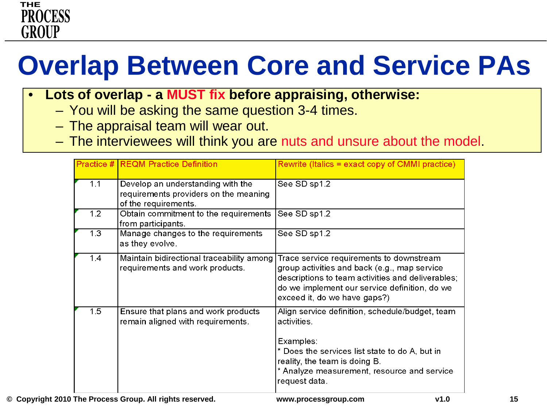## **Overlap Between Core and Service PAs**

- **Lots of overlap - a MUST fix before appraising, otherwise:**
	- You will be asking the same question 3-4 times.
	- The appraisal team will wear out.
	- The interviewees will think you are nuts and unsure about the model.

|     | <b>Practice # REQM Practice Definition</b>                                                         | Rewrite (Italics = exact copy of CMMI practice)                                                                                                                                                                                |
|-----|----------------------------------------------------------------------------------------------------|--------------------------------------------------------------------------------------------------------------------------------------------------------------------------------------------------------------------------------|
| 1.1 | Develop an understanding with the<br>requirements providers on the meaning<br>of the requirements. | See SD sp1.2                                                                                                                                                                                                                   |
| 1.2 | Obtain commitment to the requirements<br>from participants.                                        | See SD sp1.2                                                                                                                                                                                                                   |
| 1.3 | Manage changes to the requirements<br>as they evolve.                                              | See SD sp1.2                                                                                                                                                                                                                   |
| 1.4 | Maintain bidirectional traceability among<br>requirements and work products.                       | Trace service requirements to downstream<br>group activities and back (e.g., map service<br>descriptions to team activities and deliverables;<br>do we implement our service definition, do we<br>exceed it, do we have gaps?) |
| 1.5 | Ensure that plans and work products<br>remain aligned with requirements.                           | Align service definition, schedule/budget, team<br>activities.<br>Examples:<br>* Does the services list state to do A, but in<br>reality, the team is doing B.<br>* Analyze measurement, resource and service<br>request data. |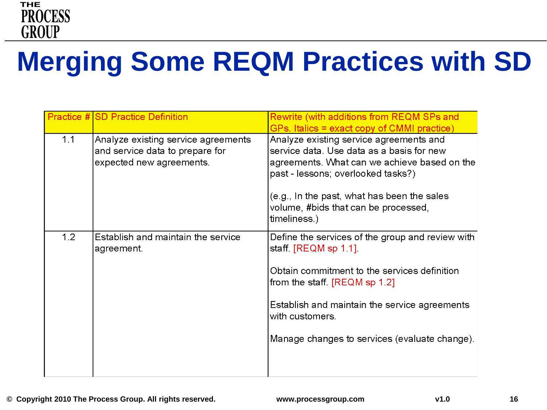

## **Merging Some REQM Practices with SD**

|     | Practice # SD Practice Definition                                                                  | Rewrite (with additions from REQM SPs and<br>GPs. Italics = exact copy of CMMI practice)                                                                                                                                                                                          |
|-----|----------------------------------------------------------------------------------------------------|-----------------------------------------------------------------------------------------------------------------------------------------------------------------------------------------------------------------------------------------------------------------------------------|
| 1.1 | Analyze existing service agreements<br>and service data to prepare for<br>expected new agreements. | Analyze existing service agreements and<br>service data. Use data as a basis for new<br>agreements. What can we achieve based on the<br>past - lessons; overlooked tasks?)<br>(e.g., In the past, what has been the sales<br>volume, #bids that can be processed,<br>timeliness.) |
| 1.2 | Establish and maintain the service<br>agreement.                                                   | Define the services of the group and review with<br>staff. $[REQM$ sp 1.1].<br>Obtain commitment to the services definition<br>from the staff. [REQM sp 1.2]<br>Establish and maintain the service agreements<br>with customers.<br>Manage changes to services (evaluate change). |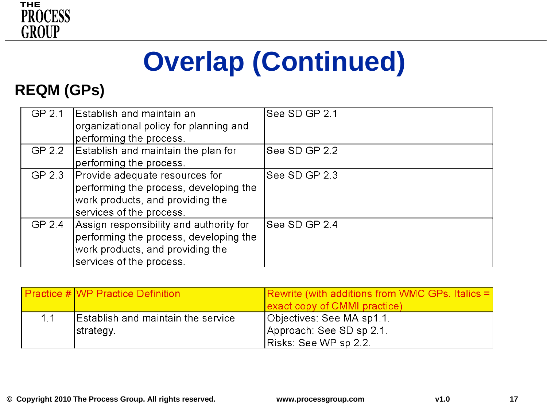

# **Overlap (Continued)**

#### **REQM (GPs)**

| GP 2.1 | Establish and maintain an<br>organizational policy for planning and | See SD GP 2.1 |
|--------|---------------------------------------------------------------------|---------------|
|        | performing the process.                                             |               |
| GP 2.2 | Establish and maintain the plan for                                 | See SD GP 2.2 |
|        | performing the process.                                             |               |
| GP 2.3 | Provide adequate resources for                                      | See SD GP 2.3 |
|        | performing the process, developing the                              |               |
|        | work products, and providing the                                    |               |
|        | services of the process.                                            |               |
| GP 2.4 | Assign responsibility and authority for                             | See SD GP 2.4 |
|        | performing the process, developing the                              |               |
|        | work products, and providing the                                    |               |
|        | services of the process.                                            |               |

|    | <b>Practice #IWP Practice Definition</b>  | <b>Rewrite (with additions from WMC GPs. Italics <math>=</math>  </b> |
|----|-------------------------------------------|-----------------------------------------------------------------------|
|    |                                           | exact copy of CMMI practice)                                          |
| 11 | <b>Establish and maintain the service</b> | Objectives: See MA sp1.1.                                             |
|    | strategy.                                 | Approach: See SD sp 2.1.                                              |
|    |                                           | Risks: See WP sp 2.2.                                                 |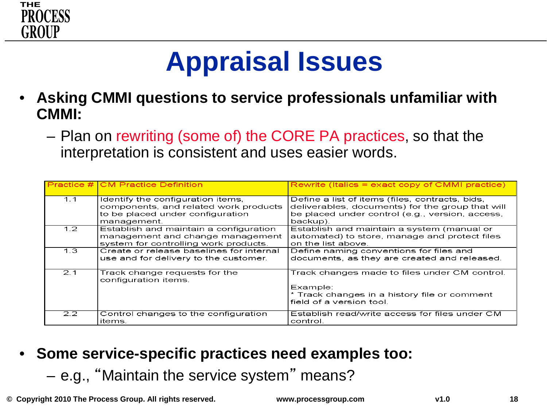

### **Appraisal Issues**

- **Asking CMMI questions to service professionals unfamiliar with CMMI:**
	- Plan on rewriting (some of) the CORE PA practices, so that the interpretation is consistent and uses easier words.

|                  | <b>Practice # CM Practice Definition</b>                                                                                      | $\blacksquare$ Rewrite (Italics = exact copy of CMMI practice)                                                                                                     |
|------------------|-------------------------------------------------------------------------------------------------------------------------------|--------------------------------------------------------------------------------------------------------------------------------------------------------------------|
| 1.1              | Identify the configuration items,<br>components, and related work products<br>to be placed under configuration<br>management. | Define a list of items (files, contracts, bids,<br>deliverables, documents) for the group that will<br>be placed under control (e.g., version, access,<br>backup). |
| 1.2 <sub>1</sub> | Establish and maintain a configuration<br>management and change management<br>system for controlling work products.           | Establish and maintain a system (manual or<br>automated) to store, manage and protect files<br>on the list above.                                                  |
| 1.3              | Create or release baselines for internal<br>use and for delivery to the customer.                                             | Define naming conventions for files and<br>documents, as they are created and released.                                                                            |
| 2.1              | Track change requests for the<br>configuration items.                                                                         | Track changes made to files under CM control.<br>Example:<br>* Track changes in a history file or comment<br>field of a version tool.                              |
| 2.2              | Control changes to the configuration<br>items.                                                                                | Establish read/write access for files under CM<br>control.                                                                                                         |

- **Some service-specific practices need examples too:** 
	- e.g., "Maintain the service system" means?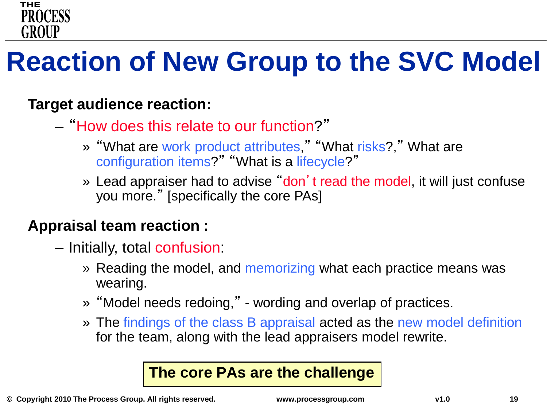

### **Reaction of New Group to the SVC Model**

#### **Target audience reaction:**

- "How does this relate to our function?"
	- » "What are work product attributes," "What risks?," What are configuration items?" "What is a lifecycle?"
	- » Lead appraiser had to advise "don't read the model, it will just confuse you more." [specifically the core PAs]

#### **Appraisal team reaction :**

- Initially, total confusion:
	- » Reading the model, and memorizing what each practice means was wearing.
	- » "Model needs redoing," wording and overlap of practices.
	- » The findings of the class B appraisal acted as the new model definition for the team, along with the lead appraisers model rewrite.

#### **The core PAs are the challenge**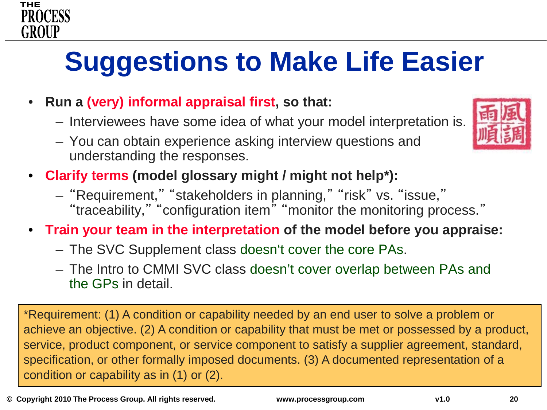## **Suggestions to Make Life Easier**

- **Run a (very) informal appraisal first, so that:**
	- Interviewees have some idea of what your model interpretation is.
	- You can obtain experience asking interview questions and understanding the responses.
- **Clarify terms (model glossary might / might not help\*):** 
	- "Requirement," "stakeholders in planning," "risk" vs. "issue,"
		- "traceability," "configuration item" "monitor the monitoring process."
- **Train your team in the interpretation of the model before you appraise:**
	- The SVC Supplement class doesn't cover the core PAs.
	- The Intro to CMMI SVC class doesn't cover overlap between PAs and the GPs in detail.

\*Requirement: (1) A condition or capability needed by an end user to solve a problem or achieve an objective. (2) A condition or capability that must be met or possessed by a product, service, product component, or service component to satisfy a supplier agreement, standard, specification, or other formally imposed documents. (3) A documented representation of a condition or capability as in (1) or (2).



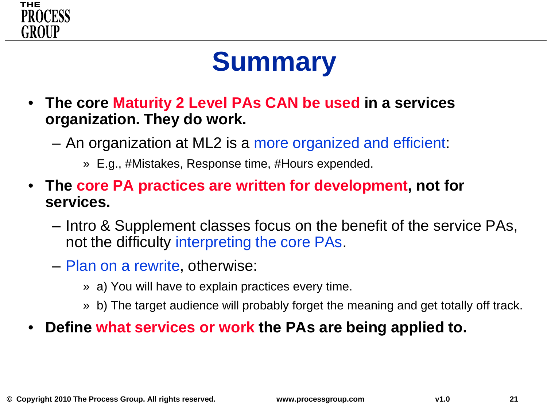

## **Summary**

- **The core Maturity 2 Level PAs CAN be used in a services organization. They do work.**
	- An organization at ML2 is a more organized and efficient:
		- » E.g., #Mistakes, Response time, #Hours expended.
- **The core PA practices are written for development, not for services.**
	- Intro & Supplement classes focus on the benefit of the service PAs, not the difficulty interpreting the core PAs.
	- Plan on a rewrite, otherwise:
		- » a) You will have to explain practices every time.
		- » b) The target audience will probably forget the meaning and get totally off track.
- **Define what services or work the PAs are being applied to.**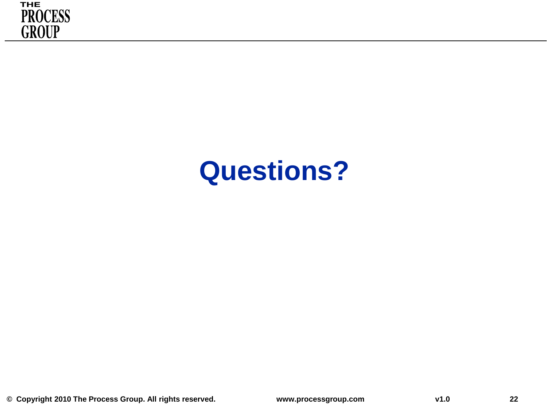

### **Questions?**